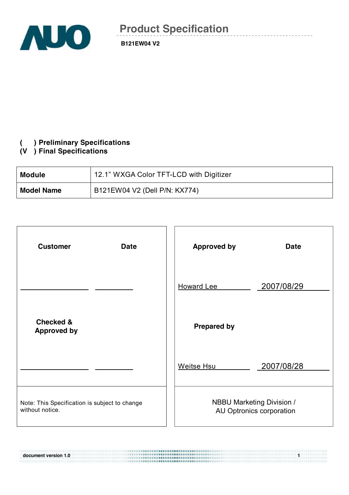

### **( ) Preliminary Specifications**

## **(V ) Final Specifications**

| <b>Module</b>     | 12.1" WXGA Color TFT-LCD with Digitizer |
|-------------------|-----------------------------------------|
| <b>Model Name</b> | B121EW04 V2 (Dell P/N: KX774)           |

| <b>Customer</b><br><b>Date</b>                                   | <b>Approved by</b><br><b>Date</b>                            |
|------------------------------------------------------------------|--------------------------------------------------------------|
|                                                                  | 2007/08/29<br><b>Howard Lee</b>                              |
| <b>Checked &amp;</b><br><b>Approved by</b>                       | <b>Prepared by</b>                                           |
|                                                                  | 2007/08/28<br>Weitse Hsu                                     |
| Note: This Specification is subject to change<br>without notice. | <b>NBBU Marketing Division /</b><br>AU Optronics corporation |

**document** version 1.0 **1.1 1.0 1.0 1.0 1.0 1.0 1.0 1.0 1.0 1.0 1.0 1.0 1.0 1.0 1.0 1.0 1.0 1.0 1.0 1.0 1.0 1.0 1.0 1.0 1.0 1.0 1.0 1.0 1.0 1.0 1.0 1.0 1.0**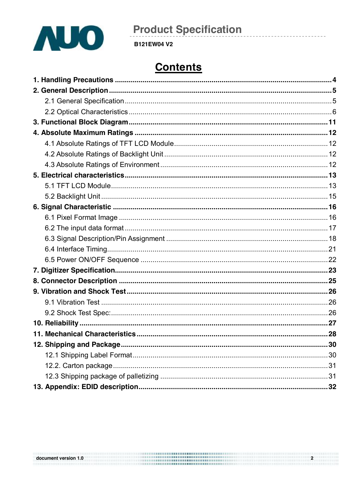

**B121EW04 V2** 

# **Contents**

|                      | ,,,,,,,,,,,,,,,,,,,,,,,,,,,,,,,,,,,, |  |
|----------------------|--------------------------------------|--|
| document version 1.0 |                                      |  |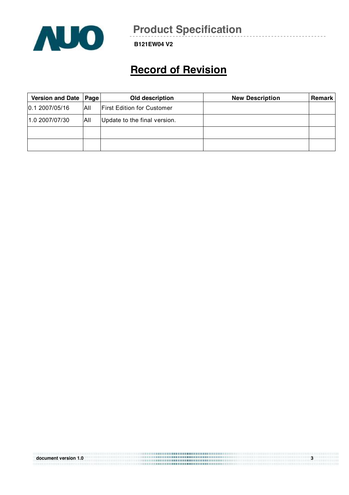

**B121EW04 V2** 

## **Record of Revision**

| Version and Date   Page |     | Old description                   | <b>New Description</b> | Remark |
|-------------------------|-----|-----------------------------------|------------------------|--------|
| 0.1 2007/05/16          | ΑII | <b>First Edition for Customer</b> |                        |        |
| 1.0 2007/07/30          | All | Update to the final version.      |                        |        |
|                         |     |                                   |                        |        |
|                         |     |                                   |                        |        |

| document version 1.0 | $\bullet$ |
|----------------------|-----------|
|----------------------|-----------|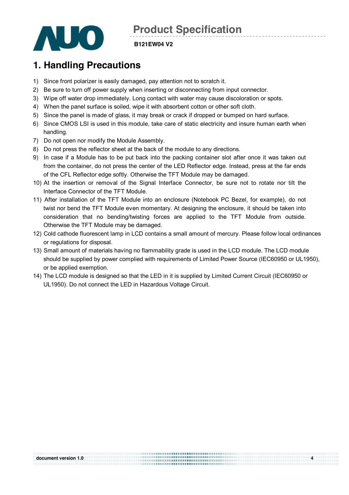

#### **B121EW04 V2**

## **1. Handling Precautions**

- 1) Since front polarizer is easily damaged, pay attention not to scratch it.
- 2) Be sure to turn off power supply when inserting or disconnecting from input connector.
- 3) Wipe off water drop immediately. Long contact with water may cause discoloration or spots.
- 4) When the panel surface is soiled, wipe it with absorbent cotton or other soft cloth.
- 5) Since the panel is made of glass, it may break or crack if dropped or bumped on hard surface.
- 6) Since CMOS LSI is used in this module, take care of static electricity and insure human earth when handling.
- 7) Do not open nor modify the Module Assembly.
- 8) Do not press the reflector sheet at the back of the module to any directions.
- 9) In case if a Module has to be put back into the packing container slot after once it was taken out from the container, do not press the center of the LED Reflector edge. Instead, press at the far ends of the CFL Reflector edge softly. Otherwise the TFT Module may be damaged.
- 10) At the insertion or removal of the Signal Interface Connector, be sure not to rotate nor tilt the Interface Connector of the TFT Module.
- 11) After installation of the TFT Module into an enclosure (Notebook PC Bezel, for example), do not twist nor bend the TFT Module even momentary. At designing the enclosure, it should be taken into consideration that no bending/twisting forces are applied to the TFT Module from outside. Otherwise the TFT Module may be damaged.
- 12) Cold cathode fluorescent lamp in LCD contains a small amount of mercury. Please follow local ordinances or regulations for disposal.
- 13) Small amount of materials having no flammability grade is used in the LCD module. The LCD module should be supplied by power complied with requirements of Limited Power Source (IEC60950 or UL1950), or be applied exemption.
- 14) The LCD module is designed so that the LED in it is supplied by Limited Current Circuit (IEC60950 or UL1950). Do not connect the LED in Hazardous Voltage Circuit.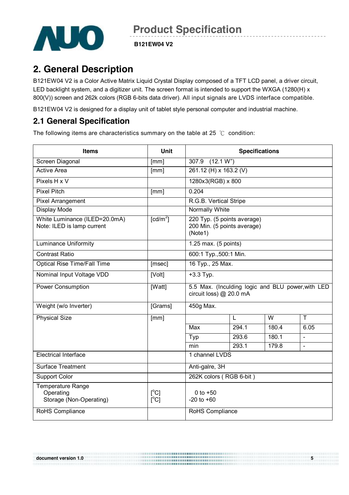

**B121EW04 V2** 

## **2. General Description**

B121EW04 V2 is a Color Active Matrix Liquid Crystal Display composed of a TFT LCD panel, a driver circuit, LED backlight system, and a digitizer unit. The screen format is intended to support the WXGA (1280(H) x 800(V)) screen and 262k colors (RGB 6-bits data driver). All input signals are LVDS interface compatible.

B121EW04 V2 is designed for a display unit of tablet style personal computer and industrial machine.

### **2.1 General Specification**

The following items are characteristics summary on the table at 25 ℃ condition:

| <b>Items</b>                                                     | <b>Unit</b>            | <b>Specifications</b>                                                        |                                                            |       |                          |
|------------------------------------------------------------------|------------------------|------------------------------------------------------------------------------|------------------------------------------------------------|-------|--------------------------|
| Screen Diagonal                                                  | [mm]                   | (12.1 W <sup>n</sup> )<br>307.9                                              |                                                            |       |                          |
| <b>Active Area</b>                                               | [mm]                   | 261.12 (H) x 163.2 (V)                                                       |                                                            |       |                          |
| Pixels H x V                                                     |                        | 1280x3(RGB) x 800                                                            |                                                            |       |                          |
| <b>Pixel Pitch</b>                                               | [mm]                   | 0.204                                                                        |                                                            |       |                          |
| Pixel Arrangement                                                |                        | R.G.B. Vertical Stripe                                                       |                                                            |       |                          |
| Display Mode                                                     |                        | Normally White                                                               |                                                            |       |                          |
| White Luminance (ILED=20.0mA)<br>Note: ILED is lamp current      | $\lceil cd/m^2 \rceil$ | (Note1)                                                                      | 220 Typ. (5 points average)<br>200 Min. (5 points average) |       |                          |
| <b>Luminance Uniformity</b>                                      |                        | 1.25 max. (5 points)                                                         |                                                            |       |                          |
| <b>Contrast Ratio</b>                                            |                        | 600:1 Typ., 500:1 Min.                                                       |                                                            |       |                          |
| <b>Optical Rise Time/Fall Time</b>                               | [msec]                 | 16 Typ., 25 Max.                                                             |                                                            |       |                          |
| Nominal Input Voltage VDD                                        | [Volt]                 | $+3.3$ Typ.                                                                  |                                                            |       |                          |
| <b>Power Consumption</b>                                         | [Watt]                 | 5.5 Max. (Inculding logic and BLU power, with LED<br>circuit loss) @ 20.0 mA |                                                            |       |                          |
| Weight (w/o Inverter)                                            | [Grams]                | 450g Max.                                                                    |                                                            |       |                          |
| <b>Physical Size</b>                                             | [mm]                   |                                                                              | L                                                          | W     | T                        |
|                                                                  |                        | Max                                                                          | 294.1                                                      | 180.4 | 6.05                     |
|                                                                  |                        | Typ                                                                          | 293.6                                                      | 180.1 | $\overline{\phantom{a}}$ |
|                                                                  |                        | min                                                                          | 293.1                                                      | 179.8 | $\mathbf{r}$             |
| <b>Electrical Interface</b>                                      |                        | 1 channel LVDS                                                               |                                                            |       |                          |
| <b>Surface Treatment</b>                                         |                        | Anti-galre, 3H                                                               |                                                            |       |                          |
| <b>Support Color</b>                                             |                        | 262K colors (RGB 6-bit)                                                      |                                                            |       |                          |
| <b>Temperature Range</b><br>Operating<br>Storage (Non-Operating) | [°C]<br>[C]            | 0 to $+50$<br>$-20$ to $+60$                                                 |                                                            |       |                          |
| RoHS Compliance                                                  |                        | RoHS Compliance                                                              |                                                            |       |                          |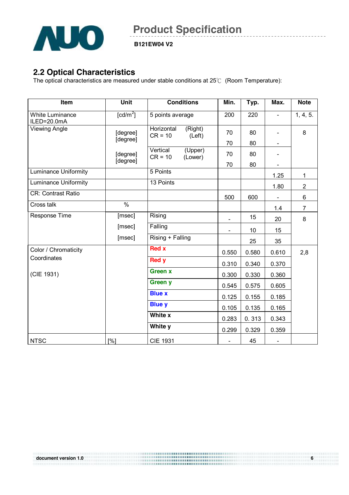![](_page_5_Picture_0.jpeg)

**B121EW04 V2** 

### **2.2 Optical Characteristics**

The optical characteristics are measured under stable conditions at 25℃ (Room Temperature):

| Item                                  | Unit                                | <b>Conditions</b>                            | Min.  | Typ.  | Max.                         | <b>Note</b>    |
|---------------------------------------|-------------------------------------|----------------------------------------------|-------|-------|------------------------------|----------------|
| <b>White Luminance</b><br>ILED=20.0mA | $\lceil$ cd/m <sup>2</sup> $\rceil$ | 5 points average                             | 200   | 220   | $\blacksquare$               | 1, 4, 5.       |
| <b>Viewing Angle</b>                  | [degree]<br>[degree]                | Horizontal<br>(Right)<br>$CR = 10$<br>(Left) | 70    | 80    |                              | 8              |
|                                       |                                     |                                              | 70    | 80    | $\qquad \qquad \blacksquare$ |                |
|                                       | [degree]<br>[degree]                | Vertical<br>(Upper)<br>$CR = 10$<br>(Lower)  | 70    | 80    |                              |                |
|                                       |                                     |                                              | 70    | 80    | ÷,                           |                |
| <b>Luminance Uniformity</b>           |                                     | 5 Points                                     |       |       | 1.25                         | $\mathbf{1}$   |
| <b>Luminance Uniformity</b>           |                                     | 13 Points                                    |       |       | 1.80                         | $\overline{2}$ |
| <b>CR: Contrast Ratio</b>             |                                     |                                              | 500   | 600   | $\qquad \qquad \blacksquare$ | 6              |
| Cross talk                            | $\frac{0}{6}$                       |                                              |       |       | 1.4                          | $\overline{7}$ |
| Response Time                         | [msec]                              | Rising                                       |       | 15    | 20                           | 8              |
|                                       | [msec]                              | Falling                                      | ÷,    | 10    | 15                           |                |
|                                       | [msec]                              | Rising + Falling                             |       | 25    | 35                           |                |
| Color / Chromaticity                  |                                     | <b>Red x</b>                                 | 0.550 | 0.580 | 0.610                        | 2,8            |
| Coordinates                           |                                     | <b>Red y</b>                                 | 0.310 | 0.340 | 0.370                        |                |
| (CIE 1931)                            |                                     | <b>Green x</b>                               | 0.300 | 0.330 | 0.360                        |                |
|                                       |                                     | Green y                                      | 0.545 | 0.575 | 0.605                        |                |
|                                       |                                     | <b>Blue x</b>                                | 0.125 | 0.155 | 0.185                        |                |
|                                       |                                     | <b>Blue y</b>                                | 0.105 | 0.135 | 0.165                        |                |
|                                       |                                     | White x                                      | 0.283 | 0.313 | 0.343                        |                |
|                                       |                                     | White y                                      | 0.299 | 0.329 | 0.359                        |                |
| <b>NTSC</b>                           | [%]                                 | <b>CIE 1931</b>                              |       | 45    | $\blacksquare$               |                |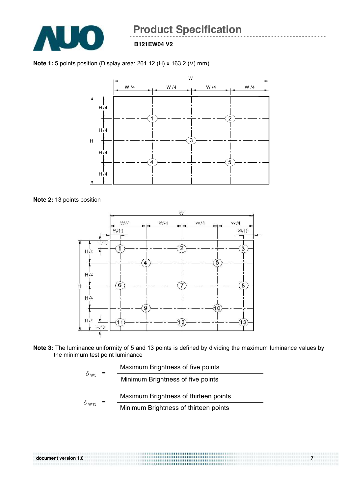![](_page_6_Picture_0.jpeg)

#### **B121EW04 V2**

**Note 1:** 5 points position (Display area: 261.12 (H) x 163.2 (V) mm)

![](_page_6_Figure_4.jpeg)

**Note 2:** 13 points position

![](_page_6_Figure_6.jpeg)

**Note 3:** The luminance uniformity of 5 and 13 points is defined by dividing the maximum luminance values by the minimum test point luminance

|                         |  | Maximum Brightness of five points     |
|-------------------------|--|---------------------------------------|
| $\delta$ w <sub>5</sub> |  | Minimum Brightness of five points     |
|                         |  | Maximum Brightness of thirteen points |
| $\delta$ W13            |  | Minimum Brightness of thirteen points |

![](_page_6_Figure_9.jpeg)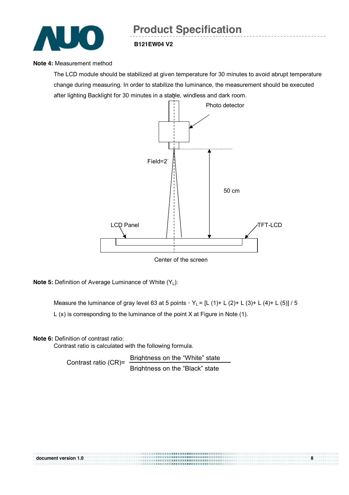![](_page_7_Picture_0.jpeg)

## **Note 4:** Measurement method

The LCD module should be stabilized at given temperature for 30 minutes to avoid abrupt temperature change during measuring. In order to stabilize the luminance, the measurement should be executed after lighting Backlight for 30 minutes in a stable, windless and dark room.

![](_page_7_Figure_4.jpeg)

Center of the screen

**Note 5:** Definition of Average Luminance of White (Y<sub>L</sub>):

Measure the luminance of gray level 63 at 5 points,  $Y_L = [L (1) + L (2) + L (3) + L (4) + L (5)] / 5$ L (x) is corresponding to the luminance of the point X at Figure in Note (1).

**Note 6:** Definition of contrast ratio:

Contrast ratio is calculated with the following formula.

Contrast ratio (CR)= Brightness on the "White" state Brightness on the "Black" state

| document version 1.0 |  |
|----------------------|--|
|                      |  |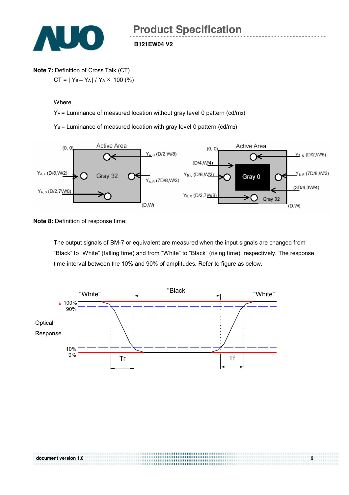![](_page_8_Picture_0.jpeg)

### **Note 7:** Definition of Cross Talk (CT)  $CT = |Y_B - Y_A| / Y_A \times 100$  (%)

#### Where

YA = Luminance of measured location without gray level 0 pattern (cd/m2)

**B121EW04 V2** 

 $Y_B$  = Luminance of measured location with gray level 0 pattern (cd/m<sub>2</sub>)

![](_page_8_Figure_6.jpeg)

**Note 8: Definition of response time:** 

The output signals of BM-7 or equivalent are measured when the input signals are changed from "Black" to "White" (falling time) and from "White" to "Black" (rising time), respectively. The response time interval between the 10% and 90% of amplitudes. Refer to figure as below.

![](_page_8_Figure_9.jpeg)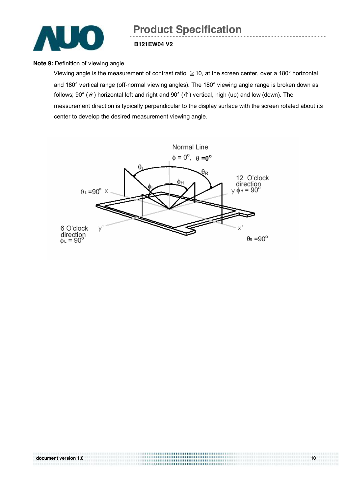![](_page_9_Picture_0.jpeg)

#### **B121EW04 V2**

#### **Note 9: Definition of viewing angle**

Viewing angle is the measurement of contrast ratio ≧10, at the screen center, over a 180° horizontal and 180° vertical range (off-normal viewing angles). The 180° viewing angle range is broken down as follows; 90° ( $\theta$ ) horizontal left and right and 90° ( $\Phi$ ) vertical, high (up) and low (down). The measurement direction is typically perpendicular to the display surface with the screen rotated about its center to develop the desired measurement viewing angle.

![](_page_9_Figure_5.jpeg)

| document version 1.0 | 10 |
|----------------------|----|
|                      |    |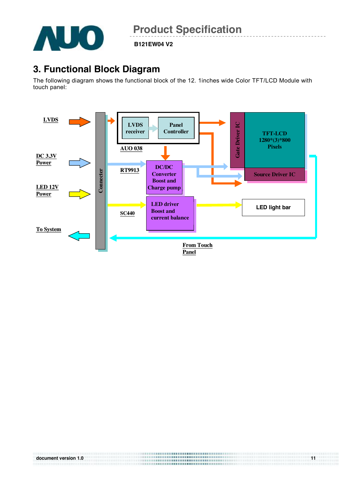![](_page_10_Picture_0.jpeg)

**B121EW04 V2** 

### **3. Functional Block Diagram**

The following diagram shows the functional block of the 12. 1inches wide Color TFT/LCD Module with touch panel:

![](_page_10_Figure_5.jpeg)

| document version 1.0 |  |
|----------------------|--|
|                      |  |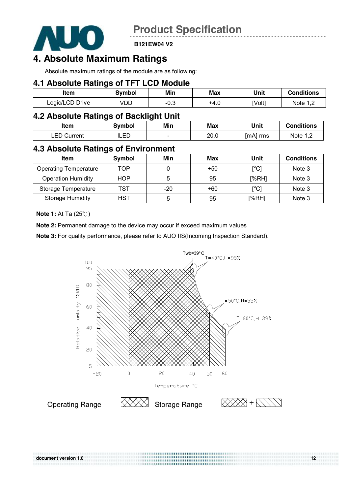![](_page_11_Picture_0.jpeg)

**B121EW04 V2** 

### **4. Absolute Maximum Ratings**

Absolute maximum ratings of the module are as following:

#### **4.1 Absolute Ratings of TFT LCD Module**

| Item            | Symbol | Min        | Max  | Unit   | <b>Conditions</b> |
|-----------------|--------|------------|------|--------|-------------------|
| Logic/LCD Drive | √DD    | ∩≏<br>−∪.∪ | +4.u | [Volt] | Note<br>ے .       |

### **4.2 Absolute Ratings of Backlight Unit**

| Item           | 3vmbol    | Min                      | Max  | Unit     | <b>Conditions</b> |
|----------------|-----------|--------------------------|------|----------|-------------------|
| EN.<br>Current | ED<br>⊔∟∟ | $\overline{\phantom{a}}$ | 20.0 | [mA] rms | Note              |

### **4.3 Absolute Ratings of Environment**

| <b>Item</b>                  | Symbol | Min | Max   | Unit                         | <b>Conditions</b> |
|------------------------------|--------|-----|-------|------------------------------|-------------------|
| <b>Operating Temperature</b> | TOP    |     | $+50$ | $\mathsf{I}^\circ\mathsf{C}$ | Note 3            |
| <b>Operation Humidity</b>    | HOP    | 5   | 95    | [%RH]                        | Note 3            |
| Storage Temperature          | TST    | -20 | +60   | $\mathsf{I}^\circ\mathsf{C}$ | Note 3            |
| <b>Storage Humidity</b>      | HST    | 5   | 95    | [%RH]                        | Note 3            |

**Note 1:** At Ta (25℃)

**Note 2:** Permanent damage to the device may occur if exceed maximum values

**Note 3:** For quality performance, please refer to AUO IIS(Incoming Inspection Standard).

![](_page_11_Figure_14.jpeg)

| document version 1.0 |         | -12 |
|----------------------|---------|-----|
|                      | <b></b> |     |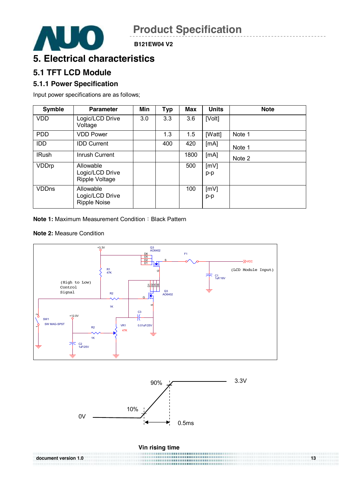![](_page_12_Picture_1.jpeg)

### **5. Electrical characteristics**

### **5.1 TFT LCD Module**

### **5.1.1 Power Specification**

Input power specifications are as follows;

| <b>Symble</b> | <b>Parameter</b>                                    | Min | <b>Typ</b> | Max  | <b>Units</b> | <b>Note</b> |
|---------------|-----------------------------------------------------|-----|------------|------|--------------|-------------|
| <b>VDD</b>    | Logic/LCD Drive<br>Voltage                          | 3.0 | 3.3        | 3.6  | [Volt]       |             |
| <b>PDD</b>    | <b>VDD Power</b>                                    |     | 1.3        | 1.5  | [Watt]       | Note 1      |
| <b>IDD</b>    | <b>IDD Current</b>                                  |     | 400        | 420  | [mA]         | Note 1      |
| <b>IRush</b>  | Inrush Current                                      |     |            | 1800 | [mA]         | Note 2      |
| VDDrp         | Allowable<br>Logic/LCD Drive<br>Ripple Voltage      |     |            | 500  | [mV]<br>p-p  |             |
| <b>VDDns</b>  | Allowable<br>Logic/LCD Drive<br><b>Ripple Noise</b> |     |            | 100  | [mV]<br>p-p  |             |

**Note 1: Maximum Measurement Condition: Black Pattern** 

#### **Note 2:** Measure Condition

![](_page_12_Figure_10.jpeg)

![](_page_12_Figure_11.jpeg)

![](_page_12_Figure_12.jpeg)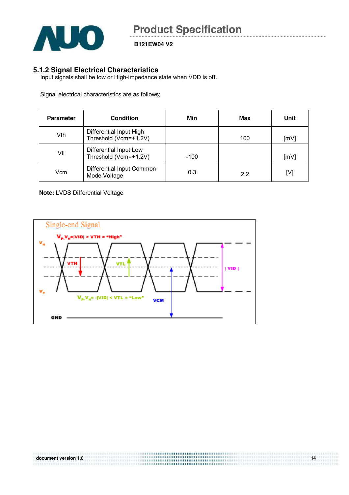![](_page_13_Picture_0.jpeg)

#### **5.1.2 Signal Electrical Characteristics**

Input signals shall be low or High-impedance state when VDD is off.

Signal electrical characteristics are as follows;

| <b>Parameter</b> | <b>Condition</b>                                 | Min  | Max | Unit |
|------------------|--------------------------------------------------|------|-----|------|
| Vth              | Differential Input High<br>Threshold (Vcm=+1.2V) |      | 100 | [mV] |
| Vtl              | Differential Input Low<br>Threshold (Vcm=+1.2V)  | -100 |     | [mV] |
| Vcm              | Differential Input Common<br>Mode Voltage        | 0.3  | 22  | [V]  |

#### **Note:** LVDS Differential Voltage

![](_page_13_Figure_8.jpeg)

| document version 1.0 | <br>14 |
|----------------------|--------|
|                      |        |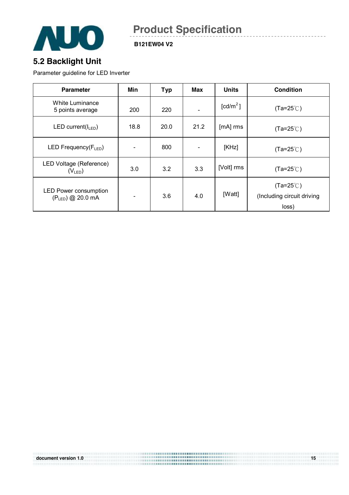![](_page_14_Picture_0.jpeg)

**B121EW04 V2** 

### **5.2 Backlight Unit**

Parameter guideline for LED Inverter

| <b>Parameter</b>                                 | Min  | <b>Typ</b> | Max  | <b>Units</b>                     | <b>Condition</b>                                          |
|--------------------------------------------------|------|------------|------|----------------------------------|-----------------------------------------------------------|
| <b>White Luminance</b><br>5 points average       | 200  | 220        |      | $\text{\rm [cd/m}^2\text{\rm ]}$ | $(Ta=25^{\circ}C)$                                        |
| LED current( $I_{LED}$ )                         | 18.8 | 20.0       | 21.2 | [mA] rms                         | $(Ta=25^{\circ}C)$                                        |
| LED Frequency(FLED)                              |      | 800        |      | [KHz]                            | $(Ta=25^{\circ}C)$                                        |
| LED Voltage (Reference)<br>$(V_{LED})$           | 3.0  | 3.2        | 3.3  | [Volt] rms                       | $(Ta=25^{\circ}C)$                                        |
| <b>LED Power consumption</b><br>(PLED) @ 20.0 mA |      | 3.6        | 4.0  | [Watt]                           | $(Ta=25^{\circ}C)$<br>(Including circuit driving<br>loss) |

|                      | <b></b>     |    |
|----------------------|-------------|----|
| document version 1.0 | <br><b></b> | 15 |
|                      |             |    |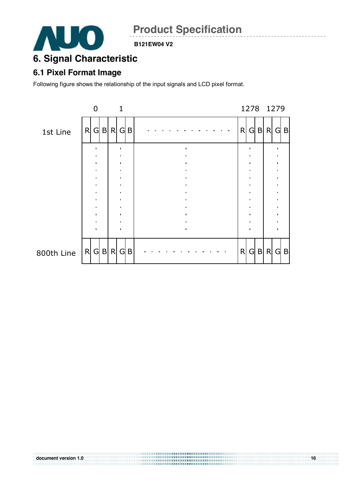![](_page_15_Picture_0.jpeg)

#### **B121EW04 V2**

## **6. Signal Characteristic**

### **6.1 Pixel Format Image**

Following figure shows the relationship of the input signals and LCD pixel format.

![](_page_15_Figure_6.jpeg)

| document version 1.0 | ,,,,,,,,,,,,,,,,,,,,,,,,,,,,,,,,<br><br><b></b> | 16 |
|----------------------|-------------------------------------------------|----|
|                      |                                                 |    |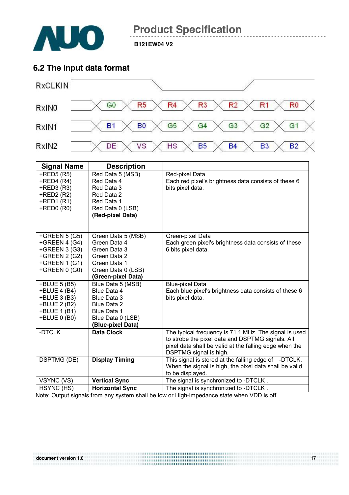![](_page_16_Picture_0.jpeg)

**B121EW04 V2** 

### **6.2 The input data format**

![](_page_16_Figure_4.jpeg)

| <b>Signal Name</b> | <b>Description</b>     |                                                        |
|--------------------|------------------------|--------------------------------------------------------|
| $+$ RED5 $(R5)$    | Red Data 5 (MSB)       | Red-pixel Data                                         |
| $+$ RED4 (R4)      | Red Data 4             | Each red pixel's brightness data consists of these 6   |
| $+$ RED3 $(R3)$    | Red Data 3             | bits pixel data.                                       |
| +RED2 (R2)         | Red Data 2             |                                                        |
| $+$ RED1 $(R1)$    | Red Data 1             |                                                        |
| $+$ RED0 $(R0)$    | Red Data 0 (LSB)       |                                                        |
|                    | (Red-pixel Data)       |                                                        |
|                    |                        |                                                        |
|                    |                        |                                                        |
| +GREEN $5(G5)$     | Green Data 5 (MSB)     | Green-pixel Data                                       |
| +GREEN 4 (G4)      | Green Data 4           | Each green pixel's brightness data consists of these   |
| +GREEN 3 (G3)      | Green Data 3           | 6 bits pixel data.                                     |
| +GREEN 2 (G2)      | Green Data 2           |                                                        |
| $+GREEN 1(G1)$     | Green Data 1           |                                                        |
| +GREEN 0 (G0)      | Green Data 0 (LSB)     |                                                        |
|                    | (Green-pixel Data)     |                                                        |
| +BLUE 5 (B5)       | Blue Data 5 (MSB)      | <b>Blue-pixel Data</b>                                 |
| +BLUE 4 (B4)       | Blue Data 4            | Each blue pixel's brightness data consists of these 6  |
| +BLUE 3 (B3)       | Blue Data 3            | bits pixel data.                                       |
| +BLUE 2 (B2)       | Blue Data 2            |                                                        |
| +BLUE 1 (B1)       | Blue Data 1            |                                                        |
| +BLUE 0 (B0)       | Blue Data 0 (LSB)      |                                                        |
|                    | (Blue-pixel Data)      |                                                        |
| -DTCLK             | <b>Data Clock</b>      | The typical frequency is 71.1 MHz. The signal is used  |
|                    |                        | to strobe the pixel data and DSPTMG signals. All       |
|                    |                        | pixel data shall be valid at the falling edge when the |
|                    |                        | DSPTMG signal is high.                                 |
| <b>DSPTMG (DE)</b> | <b>Display Timing</b>  | This signal is stored at the falling edge of -DTCLK.   |
|                    |                        | When the signal is high, the pixel data shall be valid |
|                    |                        | to be displayed.                                       |
| VSYNC (VS)         | <b>Vertical Sync</b>   | The signal is synchronized to -DTCLK.                  |
| HSYNC (HS)         | <b>Horizontal Sync</b> | The signal is synchronized to -DTCLK.                  |

Note: Output signals from any system shall be low or High-impedance state when VDD is off.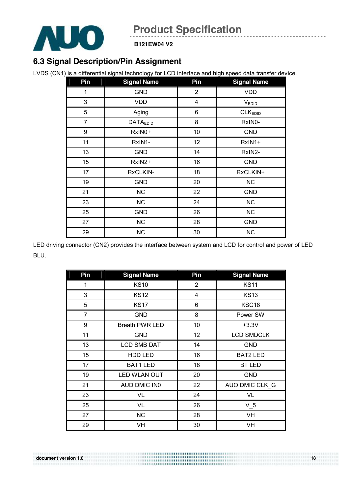![](_page_17_Picture_0.jpeg)

**B121EW04 V2** 

### **6.3 Signal Description/Pin Assignment**

LVDS (CN1) is a differential signal technology for LCD interface and high speed data transfer device.

| Pin              | <b>Signal Name</b> | Pin            | <b>Signal Name</b>  |
|------------------|--------------------|----------------|---------------------|
| 1                | <b>GND</b>         | $\overline{2}$ | <b>VDD</b>          |
| 3                | VDD                | $\overline{4}$ | $V_{EDID}$          |
| 5                | Aging              | 6              | CLK <sub>EDID</sub> |
| $\overline{7}$   | <b>DATAEDID</b>    | 8              | RxIN0-              |
| $\boldsymbol{9}$ | RxIN0+             | 10             | <b>GND</b>          |
| 11               | RxIN1-             | 12             | RxIN1+              |
| 13               | <b>GND</b>         | 14             | RxIN2-              |
| 15               | RxIN2+             | 16             | <b>GND</b>          |
| 17               | RxCLKIN-           | 18             | RxCLKIN+            |
| 19               | <b>GND</b>         | 20             | <b>NC</b>           |
| 21               | NC                 | 22             | <b>GND</b>          |
| 23               | NC                 | 24             | <b>NC</b>           |
| 25               | <b>GND</b>         | 26             | <b>NC</b>           |
| 27               | NC                 | 28             | <b>GND</b>          |
| 29               | <b>NC</b>          | 30             | <b>NC</b>           |

LED driving connector (CN2) provides the interface between system and LCD for control and power of LED BLU.

| Pin | <b>Signal Name</b>    | Pin            | <b>Signal Name</b> |
|-----|-----------------------|----------------|--------------------|
| 1   | <b>KS10</b>           | $\overline{2}$ | <b>KS11</b>        |
| 3   | <b>KS12</b>           | 4              | <b>KS13</b>        |
| 5   | <b>KS17</b>           | 6              | KSC18              |
| 7   | <b>GND</b>            | 8              | Power SW           |
| 9   | <b>Breath PWR LED</b> | 10             | $+3.3V$            |
| 11  | <b>GND</b>            | 12             | <b>LCD SMDCLK</b>  |
| 13  | <b>LCD SMB DAT</b>    | 14             | <b>GND</b>         |
| 15  | HDD LED               | 16             | <b>BAT2 LED</b>    |
| 17  | <b>BAT1 LED</b>       | 18             | <b>BT LED</b>      |
| 19  | LED WLAN OUT          | 20             | <b>GND</b>         |
| 21  | AUD DMIC IN0          | 22             | AUO DMIC CLK G     |
| 23  | VL                    | 24             | VL                 |
| 25  | VL                    | 26             | $V_5$              |
| 27  | <b>NC</b>             | 28             | VH                 |
| 29  | VH                    | 30             | VH                 |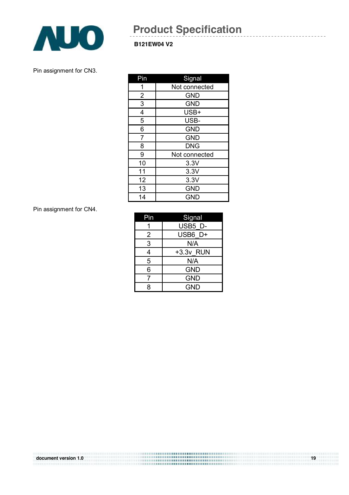![](_page_18_Picture_0.jpeg)

#### **B121EW04 V2**

Pin assignment for CN3.

| Pin            | Signal        |
|----------------|---------------|
| 1              | Not connected |
| 2              | <b>GND</b>    |
| 3              | <b>GND</b>    |
| 4              | USB+          |
| $\overline{5}$ | USB-          |
| 6              | <b>GND</b>    |
| $\overline{7}$ | <b>GND</b>    |
| 8              | <b>DNG</b>    |
| 9              | Not connected |
| 10             | 3.3V          |
| 11             | 3.3V          |
| 12             | 3.3V          |
| 13             | <b>GND</b>    |
| 14             | <b>GND</b>    |

Pin assignment for CN4.

| Pin | Signal     |
|-----|------------|
|     | USB5 D-    |
| 2   | USB6 D+    |
| 3   | N/A        |
| 4   | +3.3v RUN  |
| 5   | N/A        |
| 6   | <b>GND</b> |
|     | <b>GND</b> |
| 8   | <b>GND</b> |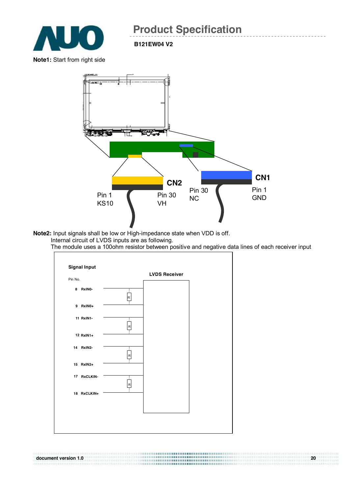![](_page_19_Picture_0.jpeg)

**B121EW04 V2** 

**Note1:** Start from right side

![](_page_19_Figure_4.jpeg)

- **Note2:** Input signals shall be low or High-impedance state when VDD is off. Internal circuit of LVDS inputs are as following.
	- The module uses a 100ohm resistor between positive and negative data lines of each receiver input

![](_page_19_Figure_7.jpeg)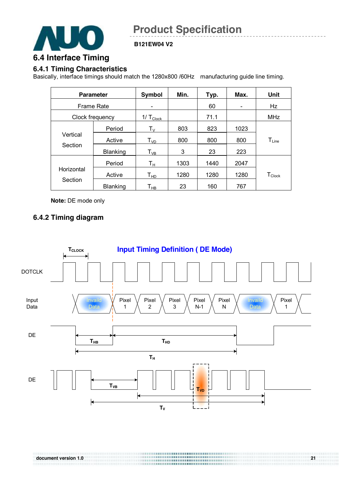![](_page_20_Picture_0.jpeg)

**B121EW04 V2** 

### **6.4 Interface Timing**

#### **6.4.1 Timing Characteristics**

Basically, interface timings should match the 1280x800 /60Hz manufacturing guide line timing.

|            | <b>Parameter</b>  | Symbol                     | Min. | Typ. | Max.                     | Unit               |
|------------|-------------------|----------------------------|------|------|--------------------------|--------------------|
|            | <b>Frame Rate</b> | $\overline{\phantom{0}}$   |      | 60   | $\overline{\phantom{0}}$ | Hz                 |
|            | Clock frequency   | 1/ $T_{\text{Clock}}$      |      | 71.1 |                          | <b>MHz</b>         |
|            | Period            | $T_{V}$                    | 803  | 823  | 1023                     |                    |
| Vertical   | Active            | $T_{VD}$                   | 800  | 800  | 800                      | $T_{Line}$         |
| Section    | Blanking          | $T_{VB}$                   | 3    | 23   | 223                      |                    |
|            | Period            | Tн                         | 1303 | 1440 | 2047                     |                    |
| Horizontal | Active            | $\mathsf{T}_{\mathsf{HD}}$ | 1280 | 1280 | 1280                     | $T_{\text{Clock}}$ |
| Section    | Blanking          | Т <sub>нв</sub>            | 23   | 160  | 767                      |                    |

**Note:** DE mode only

#### **6.4.2 Timing diagram**

![](_page_20_Figure_9.jpeg)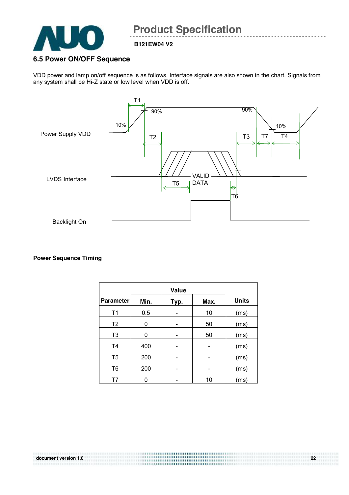![](_page_21_Picture_0.jpeg)

#### **6.5 Power ON/OFF Sequence**

VDD power and lamp on/off sequence is as follows. Interface signals are also shown in the chart. Signals from any system shall be Hi-Z state or low level when VDD is off.

![](_page_21_Figure_5.jpeg)

#### **Power Sequence Timing**

|                  | Value |      |      |              |
|------------------|-------|------|------|--------------|
| <b>Parameter</b> | Min.  | Typ. | Max. | <b>Units</b> |
| T1               | 0.5   |      | 10   | (ms)         |
| T <sub>2</sub>   | 0     |      | 50   | (ms)         |
| T <sub>3</sub>   | 0     |      | 50   | (ms)         |
| T <sub>4</sub>   | 400   |      |      | (ms)         |
| T <sub>5</sub>   | 200   |      |      | (ms)         |
| T <sub>6</sub>   | 200   |      |      | (ms)         |
|                  |       |      | 10   | (ms)         |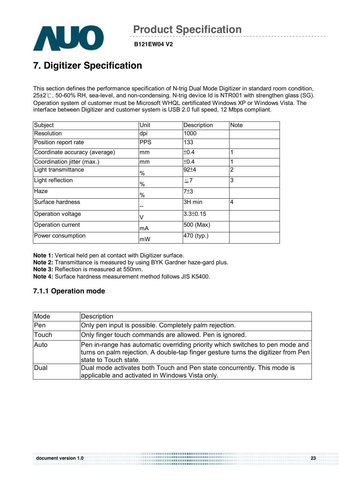![](_page_22_Picture_0.jpeg)

**B121EW04 V2** 

## **7. Digitizer Specification**

This section defines the performance specification of N-trig Dual Mode Digitizer in standard room condition, 25±2℃, 50-60% RH, sea-level, and non-condensing. N-trig device Id is NTR001 with strengthen glass (SG). Operation system of customer must be Microsoft WHQL certificated Windows XP or Windows Vista. The interface between Digitizer and customer system is USB 2.0 full speed, 12 Mbps compliant.

| Subject                       | Unit       | Description    | <b>Note</b>    |
|-------------------------------|------------|----------------|----------------|
| Resolution                    | dpi        | 1000           |                |
| Position report rate          | <b>PPS</b> | 133            |                |
| Coordinate accuracy (average) | mm         | ±0.4           | 4              |
| Coordination jitter (max.)    | mm         | ±0.4           |                |
| Light transmittance           | %          | $92 + 4$       | $\overline{2}$ |
| Light reflection              | %          | $\leq 7$       | 3              |
| Haze                          | %          | 7±3            |                |
| Surface hardness              |            | 3H min         | $\overline{4}$ |
| Operation voltage             |            | $3.3 \pm 0.15$ |                |
| Operation current             | lmA        | 500 (Max)      |                |
| Power consumption             | mW         | 470 (typ.)     |                |

**Note 1:** Vertical held pen at contact with Digitizer surface.

**Note 2:** Transmittance is measured by using BYK Gardner haze-gard plus.

**Note 3:** Reflection is measured at 550nm.

**Note 4:** Surface hardness measurement method follows JIS K5400.

#### **7.1.1 Operation mode**

| Mode  | <b>Description</b>                                                                                                                                                                          |
|-------|---------------------------------------------------------------------------------------------------------------------------------------------------------------------------------------------|
| Pen   | Only pen input is possible. Completely palm rejection.                                                                                                                                      |
| Touch | Only finger touch commands are allowed. Pen is ignored.                                                                                                                                     |
| Auto  | Pen in-range has automatic overriding priority which switches to pen mode and<br>turns on palm rejection. A double-tap finger gesture turns the digitizer from Pen<br>state to Touch state. |
| Dual  | Dual mode activates both Touch and Pen state concurrently. This mode is<br>applicable and activated in Windows Vista only.                                                                  |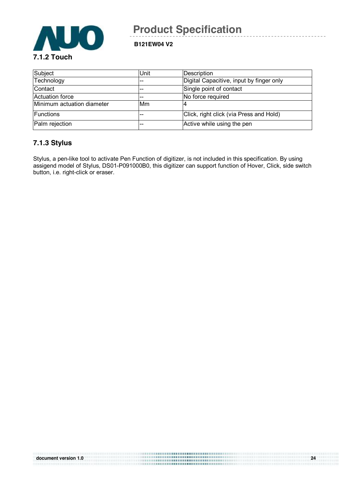![](_page_23_Picture_0.jpeg)

**B121EW04 V2** 

| Subject                    | Unit | Description                              |
|----------------------------|------|------------------------------------------|
| Technology                 | --   | Digital Capacitive, input by finger only |
| Contact                    |      | Single point of contact                  |
| Actuation force            |      | No force required                        |
| Minimum actuation diameter | Mm   |                                          |
| <b>IFunctions</b>          |      | Click, right click (via Press and Hold)  |
| Palm rejection             |      | Active while using the pen               |

#### **7.1.3 Stylus**

Stylus, a pen-like tool to activate Pen Function of digitizer, is not included in this specification. By using assigend model of Stylus, DS01-P091000B0, this digitizer can support function of Hover, Click, side switch button, i.e. right-click or eraser.

| document version 1.0 | 24 |
|----------------------|----|
|                      |    |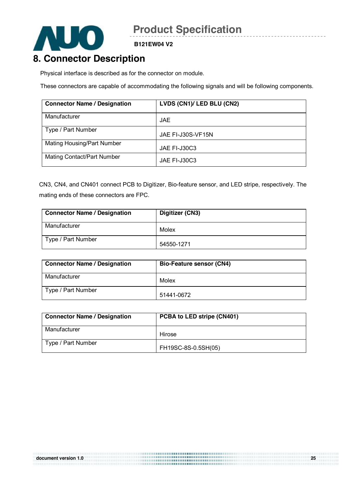![](_page_24_Picture_0.jpeg)

**B121EW04 V2** 

### **8. Connector Description**

Physical interface is described as for the connector on module.

These connectors are capable of accommodating the following signals and will be following components.

| <b>Connector Name / Designation</b> | LVDS (CN1)/ LED BLU (CN2) |
|-------------------------------------|---------------------------|
| Manufacturer                        | JAE.                      |
| Type / Part Number                  | JAE FI-J30S-VF15N         |
| Mating Housing/Part Number          | JAE FI-J30C3              |
| <b>Mating Contact/Part Number</b>   | JAE FI-J30C3              |

CN3, CN4, and CN401 connect PCB to Digitizer, Bio-feature sensor, and LED stripe, respectively. The mating ends of these connectors are FPC.

| <b>Connector Name / Designation</b> | Digitizer (CN3) |
|-------------------------------------|-----------------|
| Manufacturer                        | Molex           |
| Type / Part Number                  | 54550-1271      |

| <b>Connector Name / Designation</b> | <b>Bio-Feature sensor (CN4)</b> |
|-------------------------------------|---------------------------------|
| Manufacturer                        | Molex                           |
| Type / Part Number                  | 51441-0672                      |

| <b>Connector Name / Designation</b> | PCBA to LED stripe (CN401) |
|-------------------------------------|----------------------------|
| Manufacturer                        | Hirose                     |
| Type / Part Number                  | FH19SC-8S-0.5SH(05)        |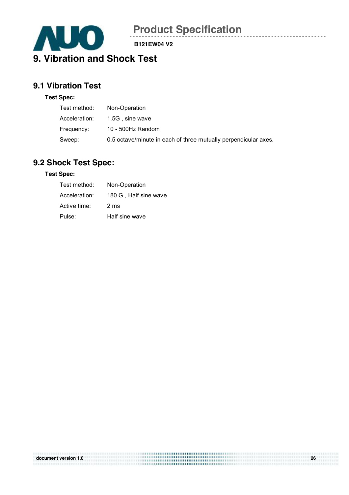![](_page_25_Picture_0.jpeg)

**B121EW04 V2** 

# **9.1 Vibration Test**

#### **Test Spec:**

| Test method:  | Non-Operation                                                   |
|---------------|-----------------------------------------------------------------|
| Acceleration: | 1.5G, sine wave                                                 |
| Frequency:    | 10 - 500Hz Random                                               |
| Sweep:        | 0.5 octave/minute in each of three mutually perpendicular axes. |

### **9.2 Shock Test Spec:**

#### **Test Spec:**

| Test method:  | Non-Operation         |
|---------------|-----------------------|
| Acceleration: | 180 G, Half sine wave |
| Active time:  | 2 ms                  |
| Pulse:        | Half sine wave        |

| document version 1.0 | <br>26 |
|----------------------|--------|
|                      |        |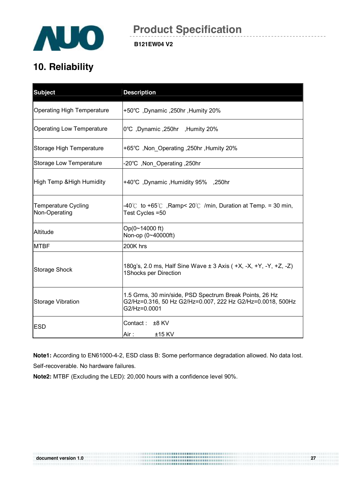![](_page_26_Picture_0.jpeg)

## **10. Reliability**

| <b>Subject</b>                              | <b>Description</b>                                                                                                                    |
|---------------------------------------------|---------------------------------------------------------------------------------------------------------------------------------------|
| <b>Operating High Temperature</b>           | +50°C, Dynamic, 250hr, Humity 20%                                                                                                     |
| <b>Operating Low Temperature</b>            | 10°C, Dynamic, 250hr, Humity 20%                                                                                                      |
| Storage High Temperature                    | +65°C, Non_Operating, 250hr, Humity 20%                                                                                               |
| <b>Storage Low Temperature</b>              | -20°C, Non Operating, 250hr                                                                                                           |
| High Temp & High Humidity                   | +40°C, Dynamic, Humidity 95%, 250hr                                                                                                   |
| <b>Temperature Cycling</b><br>Non-Operating | -40°C to +65°C, Ramp< 20°C /min, Duration at Temp. = 30 min,<br>Test Cycles = 50                                                      |
| Altitude                                    | Op(0~14000 ft)<br>Non-op (0~40000ft)                                                                                                  |
| <b>MTBF</b>                                 | 200K hrs                                                                                                                              |
| <b>Storage Shock</b>                        | 180g's, 2.0 ms, Half Sine Wave ± 3 Axis ( +X, -X, +Y, -Y, +Z, -Z)<br>1Shocks per Direction                                            |
| <b>Storage Vibration</b>                    | 1.5 Grms, 30 min/side, PSD Spectrum Break Points, 26 Hz<br>G2/Hz=0.316, 50 Hz G2/Hz=0.007, 222 Hz G2/Hz=0.0018, 500Hz<br>G2/Hz=0.0001 |
| <b>ESD</b>                                  | Contact: ±8 KV<br>Air :<br>$±15$ KV                                                                                                   |

**Note1:** According to EN61000-4-2, ESD class B: Some performance degradation allowed. No data lost. Self-recoverable. No hardware failures.

**Note2:** MTBF (Excluding the LED): 20,000 hours with a confidence level 90%.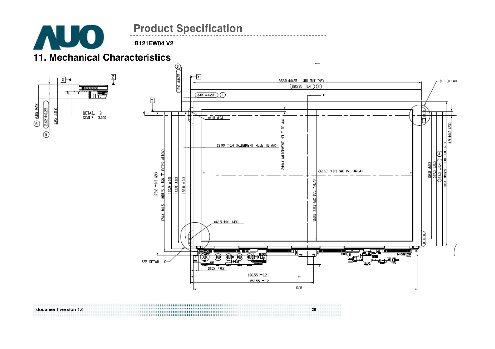**AUO** 

**B121EW04 V2** 

### **11. Mechanical Characteristics**

![](_page_27_Figure_4.jpeg)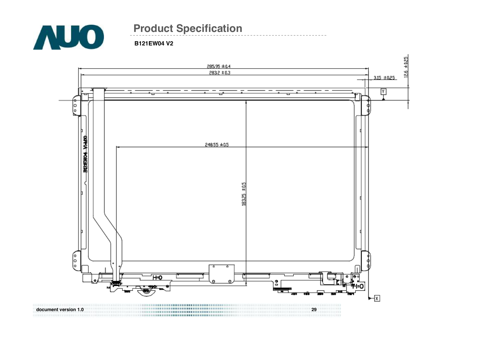![](_page_28_Picture_0.jpeg)

![](_page_28_Figure_3.jpeg)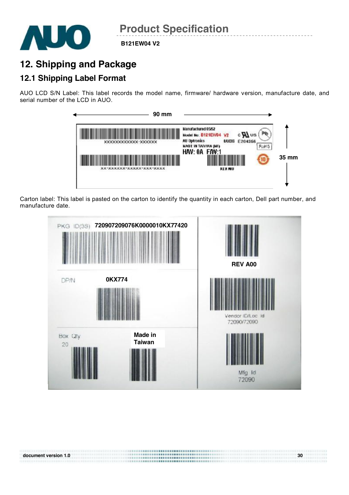![](_page_29_Picture_0.jpeg)

## **12. Shipping and Package**

### **12.1 Shipping Label Format**

AUO LCD S/N Label: This label records the model name, firmware/ hardware version, manufacture date, and serial number of the LCD in AUO.

![](_page_29_Figure_6.jpeg)

Carton label: This label is pasted on the carton to identify the quantity in each carton, Dell part number, and manufacture date.

![](_page_29_Figure_8.jpeg)

**document** version 1.0 **30 a**  $\overline{a}$  **30 a**  $\overline{b}$  **30 a**  $\overline{b}$  **30 a**  $\overline{b}$  **30 a**  $\overline{b}$  **30 a**  $\overline{b}$  **30 a**  $\overline{b}$  **30 a**  $\overline{b}$  **30 a**  $\overline{b}$  **30 a**  $\overline{b}$  **30 a**  $\overline{b}$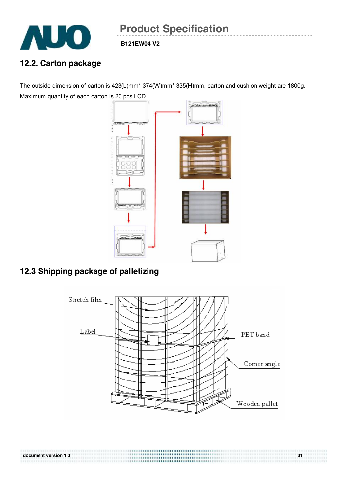![](_page_30_Picture_0.jpeg)

### **12.2. Carton package**

The outside dimension of carton is 423(L)mm\* 374(W)mm\* 335(H)mm, carton and cushion weight are 1800g. Maximum quantity of each carton is 20 pcs LCD.

![](_page_30_Figure_5.jpeg)

### **12.3 Shipping package of palletizing**

![](_page_30_Figure_7.jpeg)

**document** version 1.0 **31 and 2.0 and 3.0 and 3.0 and 3.0 and 3.0 and 3.0 and 3.0 and 3.0 and 3.0 and 3.0 and 3.0 and 3.0 and 3.0 and 3.0 and 3.0 and 3.0 and 3.0 and 3.0 and 3.0 and**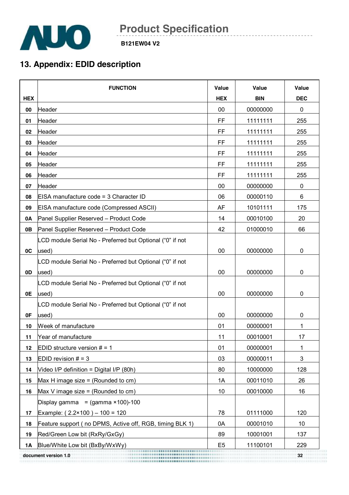![](_page_31_Picture_0.jpeg)

**B121EW04 V2** 

## **13. Appendix: EDID description**

|            | <b>FUNCTION</b>                                           | Value          | Value      | Value           |
|------------|-----------------------------------------------------------|----------------|------------|-----------------|
| <b>HEX</b> |                                                           | <b>HEX</b>     | <b>BIN</b> | <b>DEC</b>      |
| 00         | Header                                                    | 00             | 00000000   | $\pmb{0}$       |
| 01         | Header                                                    | FF             | 11111111   | 255             |
| 02         | Header                                                    | <b>FF</b>      | 11111111   | 255             |
| 03         | Header                                                    | FF             | 11111111   | 255             |
| 04         | Header                                                    | <b>FF</b>      | 11111111   | 255             |
| 05         | Header                                                    | FF             | 11111111   | 255             |
| 06         | Header                                                    | FF             | 11111111   | 255             |
| 07         | Header                                                    | 00             | 00000000   | $\mathbf 0$     |
| 08         | EISA manufacture code = 3 Character ID                    | 06             | 00000110   | 6               |
| 09         | EISA manufacture code (Compressed ASCII)                  | <b>AF</b>      | 10101111   | 175             |
| 0A         | Panel Supplier Reserved - Product Code                    | 14             | 00010100   | 20              |
| <b>0B</b>  | Panel Supplier Reserved - Product Code                    | 42             | 01000010   | 66              |
|            | LCD module Serial No - Preferred but Optional ("0" if not |                |            |                 |
| 0C         | used)                                                     | 00             | 00000000   | 0               |
|            | LCD module Serial No - Preferred but Optional ("0" if not |                |            |                 |
| 0D         | used)                                                     | 00             | 00000000   | 0               |
|            | LCD module Serial No - Preferred but Optional ("0" if not |                |            |                 |
| 0E         | used)                                                     | 00             | 00000000   | 0               |
|            | LCD module Serial No - Preferred but Optional ("0" if not |                |            |                 |
| 0F         | used)                                                     | 00             | 00000000   | 0               |
| 10         | Week of manufacture                                       | 01             | 00000001   | 1               |
| 11         | Year of manufacture                                       | 11             | 00010001   | 17              |
| 12         | EDID structure version $# = 1$                            | 01             | 00000001   | $\mathbf{1}$    |
| 13         | EDID revision $# = 3$                                     | 03             | 00000011   | 3               |
| 14         | Video I/P definition = Digital I/P (80h)                  | 80             | 10000000   | 128             |
| 15         | Max H image size = (Rounded to $cm$ )                     | 1A             | 00011010   | 26              |
| 16         | Max V image size = (Rounded to $cm$ )                     | 10             | 00010000   | 16              |
|            | Display gamma = $(gamma \times 100) - 100$                |                |            |                 |
| 17         | Example: $(2.2 \times 100) - 100 = 120$                   | 78             | 01111000   | 120             |
| 18         | Feature support (no DPMS, Active off, RGB, timing BLK 1)  | 0A             | 00001010   | 10 <sup>°</sup> |
| 19         | Red/Green Low bit (RxRy/GxGy)                             | 89             | 10001001   | 137             |
| 1A         | Blue/White Low bit (BxBy/WxWy)                            | E <sub>5</sub> | 11100101   | 229             |
|            | document version 1.0                                      |                |            |                 |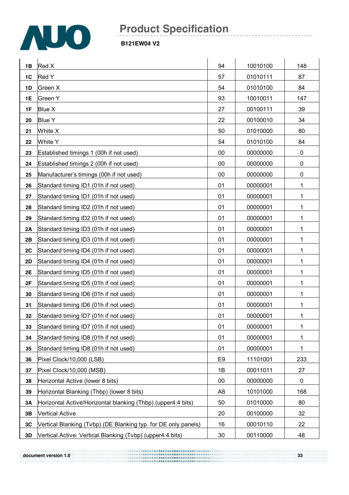![](_page_32_Picture_0.jpeg)

#### **B121EW04 V2**

| 1B        | Red X                                                          | 94             | 10010100 | 148         |
|-----------|----------------------------------------------------------------|----------------|----------|-------------|
| 1C        | Red Y                                                          | 57             | 01010111 | 87          |
| 1D        | Green X                                                        | 54             | 01010100 | 84          |
| 1E        | Green Y                                                        | 93             | 10010011 | 147         |
| 1F        | <b>Blue X</b>                                                  | 27             | 00100111 | 39          |
| 20        | <b>Blue Y</b>                                                  | 22             | 00100010 | 34          |
| 21        | White X                                                        | 50             | 01010000 | 80          |
| 22        | White Y                                                        | 54             | 01010100 | 84          |
| 23        | Established timings 1 (00h if not used)                        | 00             | 00000000 | $\pmb{0}$   |
| 24        | Established timings 2 (00h if not used)                        | 00             | 00000000 | $\pmb{0}$   |
| 25        | Manufacturer's timings (00h if not used)                       | 00             | 00000000 | $\pmb{0}$   |
| 26        | Standard timing ID1 (01h if not used)                          | 01             | 00000001 | 1           |
| 27        | Standard timing ID1 (01h if not used)                          | 01             | 00000001 | 1           |
| 28        | Standard timing ID2 (01h if not used)                          | 01             | 00000001 | 1           |
| 29        | Standard timing ID2 (01h if not used)                          | 01             | 00000001 | 1           |
| 2A        | Standard timing ID3 (01h if not used)                          | 01             | 00000001 | 1           |
| 2B        | Standard timing ID3 (01h if not used)                          | 01             | 00000001 | 1           |
| 2C        | Standard timing ID4 (01h if not used)                          | 01             | 00000001 | 1           |
| 2D        | Standard timing ID4 (01h if not used)                          | 01             | 00000001 | 1           |
| 2E        | Standard timing ID5 (01h if not used)                          | 01             | 00000001 | 1           |
| 2F        | Standard timing ID5 (01h if not used)                          | 01             | 00000001 | 1           |
| 30        | Standard timing ID6 (01h if not used)                          | 01             | 00000001 | 1           |
| 31        | Standard timing ID6 (01h if not used)                          | 01             | 00000001 | 1           |
| 32        | Standard timing ID7 (01h if not used)                          | 01             | 00000001 | 1           |
| 33        | Standard timing ID7 (01h if not used)                          | 01             | 00000001 | 1           |
| 34        | Standard timing ID8 (01h if not used)                          | 01             | 00000001 | 1           |
| 35        | Standard timing ID8 (01h if not used)                          | 01             | 00000001 | 1           |
| 36        | Pixel Clock/10,000 (LSB)                                       | E <sub>9</sub> | 11101001 | 233         |
| 37        | Pixel Clock/10,000 (MSB)                                       | 1B             | 00011011 | 27          |
| 38        | Horizontal Active (lower 8 bits)                               | 00             | 00000000 | $\mathbf 0$ |
| 39        | Horizontal Blanking (Thbp) (lower 8 bits)                      | A8             | 10101000 | 168         |
| <b>3A</b> | Horizontal Active/Horizontal blanking (Thbp) (upper4:4 bits)   | 50             | 01010000 | 80          |
| 3B        | <b>Vertical Active</b>                                         | 20             | 00100000 | 32          |
| 3C        | Vertical Blanking (Tvbp) (DE Blanking typ. for DE only panels) | 16             | 00010110 | 22          |
| 3D        | Vertical Active: Vertical Blanking (Tvbp) (upper4:4 bits)      | 30             | 00110000 | 48          |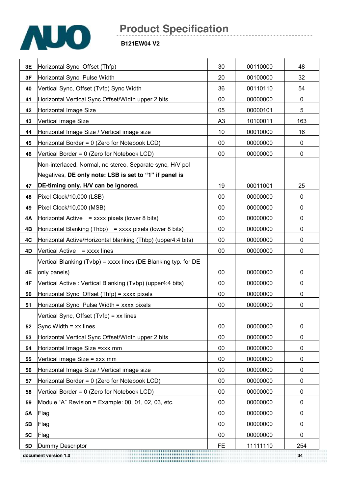![](_page_33_Picture_0.jpeg)

| 3E | Horizontal Sync, Offset (Thfp)                                 | 30             | 00110000 | 48  |
|----|----------------------------------------------------------------|----------------|----------|-----|
| 3F | Horizontal Sync, Pulse Width                                   | 20<br>36       | 00100000 | 32  |
| 40 | Vertical Sync, Offset (Tvfp) Sync Width                        |                | 00110110 | 54  |
| 41 | Horizontal Vertical Sync Offset/Width upper 2 bits             | 00             | 00000000 | 0   |
| 42 | Horizontal Image Size                                          | 05             | 00000101 | 5   |
| 43 | Vertical image Size                                            | A <sub>3</sub> | 10100011 | 163 |
| 44 | Horizontal Image Size / Vertical image size                    | 10             | 00010000 | 16  |
| 45 | Horizontal Border = 0 (Zero for Notebook LCD)                  | $00\,$         | 00000000 | 0   |
| 46 | Vertical Border = 0 (Zero for Notebook LCD)                    | $00\,$         | 00000000 | 0   |
|    | Non-interlaced, Normal, no stereo, Separate sync, H/V pol      |                |          |     |
|    | Negatives, DE only note: LSB is set to "1" if panel is         |                |          |     |
| 47 | DE-timing only. H/V can be ignored.                            | 19             | 00011001 | 25  |
| 48 | Pixel Clock/10,000 (LSB)                                       | 00             | 00000000 | 0   |
| 49 | Pixel Clock/10,000 (MSB)                                       | 00             | 00000000 | 0   |
| 4A | Horizontal Active $=$ xxxx pixels (lower 8 bits)               | 00             | 00000000 | 0   |
| 4B | Horizontal Blanking (Thbp) = $xxxx$ pixels (lower 8 bits)      | 00             | 00000000 | 0   |
| 4C | Horizontal Active/Horizontal blanking (Thbp) (upper4:4 bits)   | $00\,$         | 00000000 | 0   |
| 4D | Vertical Active = xxxx lines                                   | 00             | 00000000 | 0   |
|    | Vertical Blanking (Tvbp) = xxxx lines (DE Blanking typ. for DE |                |          |     |
| 4E | only panels)                                                   | 00             | 00000000 | 0   |
| 4F | Vertical Active: Vertical Blanking (Tvbp) (upper4:4 bits)      | $00\,$         | 00000000 | 0   |
| 50 | Horizontal Sync, Offset (Thfp) = xxxx pixels                   | 00             | 00000000 | 0   |
| 51 | Horizontal Sync, Pulse Width = xxxx pixels                     | 00             | 00000000 | 0   |
|    | Vertical Sync, Offset (Tvfp) = xx lines                        |                |          |     |
| 52 | Sync Width $=$ xx lines                                        | 00             | 00000000 | 0   |
| 53 | Horizontal Vertical Sync Offset/Width upper 2 bits             | 00             | 00000000 | 0   |
| 54 | Horizontal Image Size = xxx mm                                 | 00             | 00000000 | 0   |
| 55 | Vertical image Size = xxx mm                                   | 00             | 00000000 | 0   |
| 56 | Horizontal Image Size / Vertical image size                    | 00             | 00000000 | 0   |
| 57 | Horizontal Border = 0 (Zero for Notebook LCD)                  | 00             | 00000000 | 0   |
| 58 | Vertical Border = 0 (Zero for Notebook LCD)                    | 00             | 00000000 | 0   |
| 59 | Module "A" Revision = Example: 00, 01, 02, 03, etc.            | 00             | 00000000 | 0   |
| 5Α | Flag                                                           | 00             | 00000000 | 0   |
| 5B | Flag                                                           | 00             | 00000000 | 0   |
| 5C | Flag                                                           | 00             | 00000000 | 0   |
| 5D | Dummy Descriptor                                               | <b>FE</b>      | 11111110 | 254 |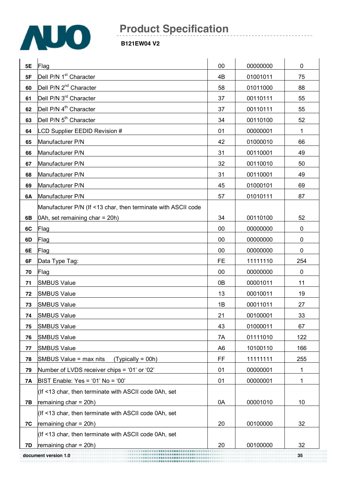![](_page_34_Picture_0.jpeg)

| 5E  | Flag                                                          | 00             | 00000000 | $\pmb{0}$   |
|-----|---------------------------------------------------------------|----------------|----------|-------------|
| 5F  | Dell P/N 1 <sup>st</sup> Character                            | 4B             | 01001011 | 75          |
| 60  | Dell P/N 2 <sup>nd</sup> Character                            | 58             | 01011000 | 88          |
| 61  | Dell P/N 3 <sup>rd</sup> Character                            | 37             | 00110111 | 55          |
| 62  | Dell P/N 4 <sup>th</sup> Character                            | 37             | 00110111 | 55          |
| 63  | Dell P/N 5 <sup>th</sup> Character                            | 34             | 00110100 | 52          |
| 64  | LCD Supplier EEDID Revision #                                 | 01             | 00000001 | $\mathbf 1$ |
| 65  | Manufacturer P/N                                              | 42             | 01000010 | 66          |
| 66  | Manufacturer P/N                                              | 31             | 00110001 | 49          |
| 67  | Manufacturer P/N                                              | 32             | 00110010 | 50          |
| 68  | Manufacturer P/N                                              | 31             | 00110001 | 49          |
| 69  | Manufacturer P/N                                              | 45             | 01000101 | 69          |
| 6A  | Manufacturer P/N                                              | 57             | 01010111 | 87          |
|     | Manufacturer P/N (If <13 char, then terminate with ASCII code |                |          |             |
| 6B  | $0$ Ah, set remaining char = 20h)                             | 34             | 00110100 | 52          |
| 6C  | Flag                                                          | 00             | 00000000 | 0           |
| 6D  | Flag                                                          | 00             | 00000000 | 0           |
| 6E  | Flag                                                          | 00             | 00000000 | $\mathbf 0$ |
| 6F  | Data Type Tag:                                                | <b>FE</b>      | 11111110 | 254         |
| 70  | Flag                                                          | 00             | 00000000 | $\mathbf 0$ |
| 71  | <b>SMBUS Value</b>                                            | 0B             | 00001011 | 11          |
| 72  | <b>SMBUS Value</b>                                            | 13             | 00010011 | 19          |
| 73  | <b>SMBUS Value</b>                                            | 1B             | 00011011 | 27          |
| 74  | <b>SMBUS Value</b>                                            | 21             | 00100001 | 33          |
| 75  | <b>SMBUS Value</b>                                            | 43             | 01000011 | 67          |
| 76  | <b>SMBUS Value</b>                                            | 7A             | 01111010 | 122         |
| 77  | <b>SMBUS Value</b>                                            | A <sub>6</sub> | 10100110 | 166         |
| 78  | SMBUS Value = max nits<br>$(Typically = 00h)$                 | FF             | 11111111 | 255         |
| 79  | Number of LVDS receiver chips = '01' or '02'                  | 01             | 00000001 | 1           |
| 7A  | BIST Enable: Yes = '01' No = '00'                             | 01             | 00000001 | 1           |
|     | (If <13 char, then terminate with ASCII code 0Ah, set         |                |          |             |
| 7B  | remaining $char = 20h$ )                                      | 0A             | 00001010 | 10          |
|     | (If <13 char, then terminate with ASCII code 0Ah, set         |                |          |             |
| 7C  | remaining $char = 20h$ )                                      | 20             | 00100000 | 32          |
|     | (If <13 char, then terminate with ASCII code 0Ah, set         |                |          |             |
| 7D. | remaining $char = 20h$ )                                      | 20             | 00100000 | 32          |